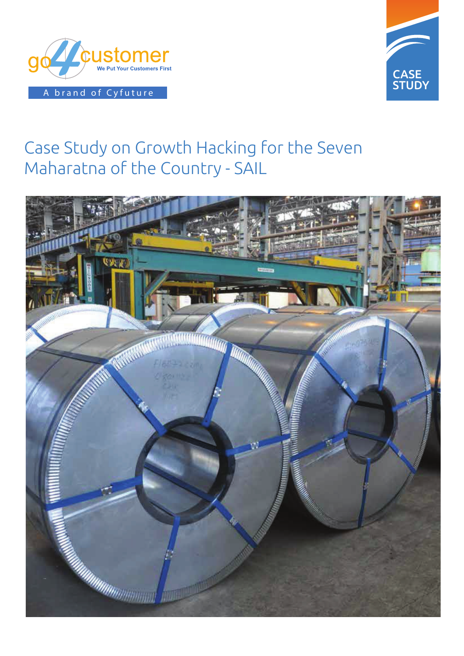



# Case Study on Growth Hacking for the Seven Maharatna of the Country - SAIL

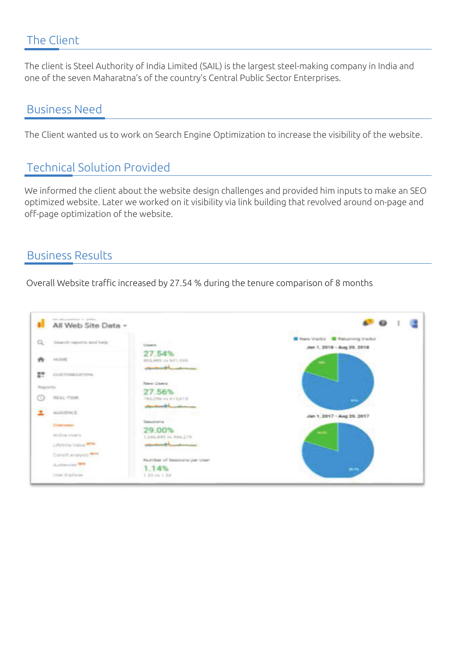### The Client

The client is Steel Authority of India Limited (SAIL) is the largest steel-making company in India and one of the seven Maharatna's of the country's Central Public Sector Enterprises.

#### Business Need

The Client wanted us to work on Search Engine Optimization to increase the visibility of the website.

## Technical Solution Provided

We informed the client about the website design challenges and provided him inputs to make an SEO optimized website. Later we worked on it visibility via link building that revolved around on-page and off-page optimization of the website.

#### Business Results

Overall Website traffic increased by 27.54 % during the tenure comparison of 8 months